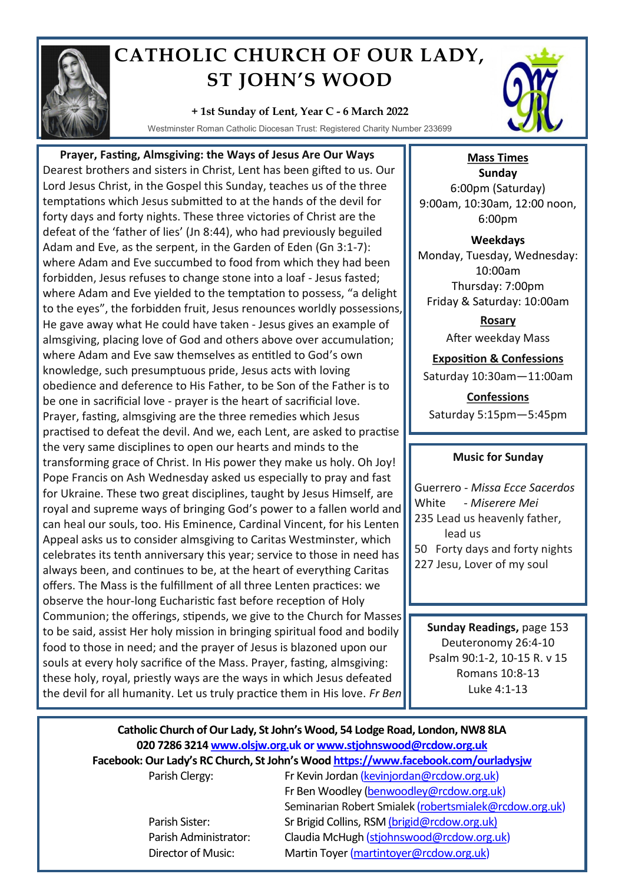

## **CATHOLIC CHURCH OF OUR LADY, ST JOHN'S WOOD**

## **+ 1st Sunday of Lent, Year C - 6 March 2022**

Westminster Roman Catholic Diocesan Trust: Registered Charity Number 233699

 **Prayer, Fasting, Almsgiving: the Ways of Jesus Are Our Ways** Dearest brothers and sisters in Christ, Lent has been gifted to us. Our Lord Jesus Christ, in the Gospel this Sunday, teaches us of the three temptations which Jesus submitted to at the hands of the devil for forty days and forty nights. These three victories of Christ are the defeat of the 'father of lies' (Jn 8:44), who had previously beguiled Adam and Eve, as the serpent, in the Garden of Eden (Gn 3:1-7): where Adam and Eve succumbed to food from which they had been forbidden, Jesus refuses to change stone into a loaf - Jesus fasted; where Adam and Eve yielded to the temptation to possess, "a delight to the eyes", the forbidden fruit, Jesus renounces worldly possessions, He gave away what He could have taken - Jesus gives an example of almsgiving, placing love of God and others above over accumulation; where Adam and Eve saw themselves as entitled to God's own knowledge, such presumptuous pride, Jesus acts with loving obedience and deference to His Father, to be Son of the Father is to be one in sacrificial love - prayer is the heart of sacrificial love. Prayer, fasting, almsgiving are the three remedies which Jesus practised to defeat the devil. And we, each Lent, are asked to practise the very same disciplines to open our hearts and minds to the transforming grace of Christ. In His power they make us holy. Oh Joy! Pope Francis on Ash Wednesday asked us especially to pray and fast for Ukraine. These two great disciplines, taught by Jesus Himself, are royal and supreme ways of bringing God's power to a fallen world and can heal our souls, too. His Eminence, Cardinal Vincent, for his Lenten Appeal asks us to consider almsgiving to Caritas Westminster, which celebrates its tenth anniversary this year; service to those in need has always been, and continues to be, at the heart of everything Caritas offers. The Mass is the fulfillment of all three Lenten practices: we observe the hour-long Eucharistic fast before reception of Holy Communion; the offerings, stipends, we give to the Church for Masses to be said, assist Her holy mission in bringing spiritual food and bodily food to those in need; and the prayer of Jesus is blazoned upon our souls at every holy sacrifice of the Mass. Prayer, fasting, almsgiving: these holy, royal, priestly ways are the ways in which Jesus defeated the devil for all humanity. Let us truly practice them in His love. *Fr Ben*



**Mass Times Sunday** 6:00pm (Saturday) 9:00am, 10:30am, 12:00 noon, 6:00pm

**Weekdays** Monday, Tuesday, Wednesday: 10:00am Thursday: 7:00pm Friday & Saturday: 10:00am

> **Rosary** After weekday Mass

**Exposition & Confessions** Saturday 10:30am—11:00am

**Confessions**  Saturday 5:15pm—5:45pm

## **Music for Sunday**

Guerrero - *Missa Ecce Sacerdos* White - *Miserere Mei*  235 Lead us heavenly father, lead us 50 Forty days and forty nights 227 Jesu, Lover of my soul

**Sunday Readings,** page 153 Deuteronomy 26:4-10 Psalm 90:1-2, 10-15 R. v 15 Romans 10:8-13 Luke 4:1-13

## **Catholic Church of Our Lady, St John's Wood, 54 Lodge Road, London, NW8 8LA 020 7286 3214 www.olsjw.org.uk or www.stjohnswood@rcdow.org.uk Facebook: Our Lady's RC Church, St John's Wood https://www.facebook.com/ourladysjw** Parish Clergy: Fr Kevin Jordan (kevinjordan@rcdow.org.uk)

Fr Ben Woodley (benwoodley@rcdow.org.uk) Seminarian Robert Smialek (robertsmialek@rcdow.org.uk) Parish Sister: Sr Brigid Collins, RSM (brigid@rcdow.org.uk) Parish Administrator: Claudia McHugh (stjohnswood@rcdow.org.uk) Director of Music: Martin Toyer (martintoyer@rcdow.org.uk)